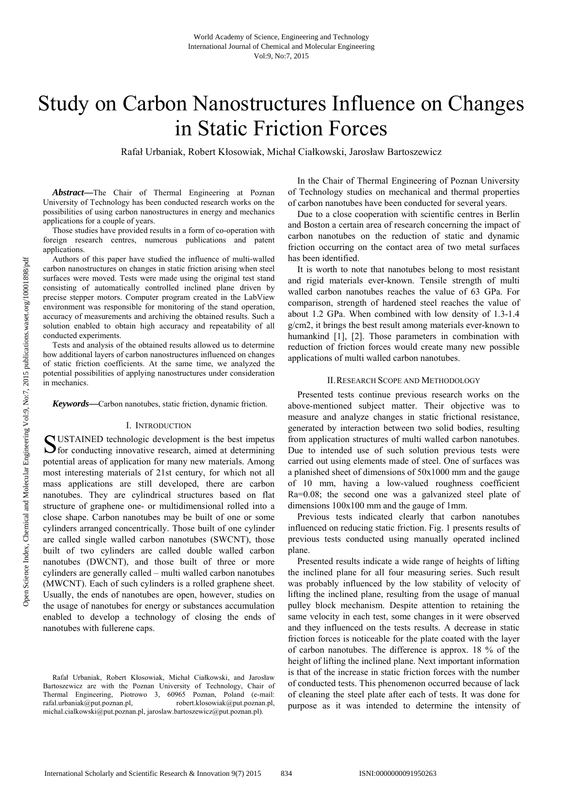# Study on Carbon Nanostructures Influence on Changes in Static Friction Forces

Rafał Urbaniak, Robert Kłosowiak, Michał Ciałkowski, Jarosław Bartoszewicz

*Abstract***—**The Chair of Thermal Engineering at Poznan University of Technology has been conducted research works on the possibilities of using carbon nanostructures in energy and mechanics applications for a couple of years.

Those studies have provided results in a form of co-operation with foreign research centres, numerous publications and patent applications.

Authors of this paper have studied the influence of multi-walled carbon nanostructures on changes in static friction arising when steel surfaces were moved. Tests were made using the original test stand consisting of automatically controlled inclined plane driven by precise stepper motors. Computer program created in the LabView environment was responsible for monitoring of the stand operation, accuracy of measurements and archiving the obtained results. Such a solution enabled to obtain high accuracy and repeatability of all conducted experiments.

Tests and analysis of the obtained results allowed us to determine how additional layers of carbon nanostructures influenced on changes of static friction coefficients. At the same time, we analyzed the potential possibilities of applying nanostructures under consideration in mechanics.

*Keywords***—**Carbon nanotubes, static friction, dynamic friction.

## I. INTRODUCTION

USTAINED technologic development is the best impetus SUSTAINED technologic development is the best impetus<br>
S for conducting innovative research, aimed at determining potential areas of application for many new materials. Among most interesting materials of 21st century, for which not all mass applications are still developed, there are carbon nanotubes. They are cylindrical structures based on flat structure of graphene one- or multidimensional rolled into a close shape. Carbon nanotubes may be built of one or some cylinders arranged concentrically. Those built of one cylinder are called single walled carbon nanotubes (SWCNT), those built of two cylinders are called double walled carbon nanotubes (DWCNT), and those built of three or more cylinders are generally called – multi walled carbon nanotubes (MWCNT). Each of such cylinders is a rolled graphene sheet. Usually, the ends of nanotubes are open, however, studies on the usage of nanotubes for energy or substances accumulation enabled to develop a technology of closing the ends of nanotubes with fullerene caps.

In the Chair of Thermal Engineering of Poznan University of Technology studies on mechanical and thermal properties of carbon nanotubes have been conducted for several years.

Due to a close cooperation with scientific centres in Berlin and Boston a certain area of research concerning the impact of carbon nanotubes on the reduction of static and dynamic friction occurring on the contact area of two metal surfaces has been identified.

It is worth to note that nanotubes belong to most resistant and rigid materials ever-known. Tensile strength of multi walled carbon nanotubes reaches the value of 63 GPa. For comparison, strength of hardened steel reaches the value of about 1.2 GPa. When combined with low density of 1.3-1.4 g/cm2, it brings the best result among materials ever-known to humankind [1], [2]. Those parameters in combination with reduction of friction forces would create many new possible applications of multi walled carbon nanotubes.

## II.RESEARCH SCOPE AND METHODOLOGY

Presented tests continue previous research works on the above-mentioned subject matter. Their objective was to measure and analyze changes in static frictional resistance, generated by interaction between two solid bodies, resulting from application structures of multi walled carbon nanotubes. Due to intended use of such solution previous tests were carried out using elements made of steel. One of surfaces was a planished sheet of dimensions of 50x1000 mm and the gauge of 10 mm, having a low-valued roughness coefficient Ra=0.08; the second one was a galvanized steel plate of dimensions 100x100 mm and the gauge of 1mm.

Previous tests indicated clearly that carbon nanotubes influenced on reducing static friction. Fig. 1 presents results of previous tests conducted using manually operated inclined plane.

Presented results indicate a wide range of heights of lifting the inclined plane for all four measuring series. Such result was probably influenced by the low stability of velocity of lifting the inclined plane, resulting from the usage of manual pulley block mechanism. Despite attention to retaining the same velocity in each test, some changes in it were observed and they influenced on the tests results. A decrease in static friction forces is noticeable for the plate coated with the layer of carbon nanotubes. The difference is approx. 18 % of the height of lifting the inclined plane. Next important information is that of the increase in static friction forces with the number of conducted tests. This phenomenon occurred because of lack of cleaning the steel plate after each of tests. It was done for purpose as it was intended to determine the intensity of

Rafał Urbaniak, Robert Kłosowiak, Michał Ciałkowski, and Jarosław Bartoszewicz are with the Poznan University of Technology, Chair of Thermal Engineering, Piotrowo 3, 60965 Poznan, Poland (e-mail: rafal.urbaniak@put.poznan.pl, robert.klosowiak@put.poznan.pl, michal.cialkowski@put.poznan.pl, jaroslaw.bartoszewicz@put.poznan.pl).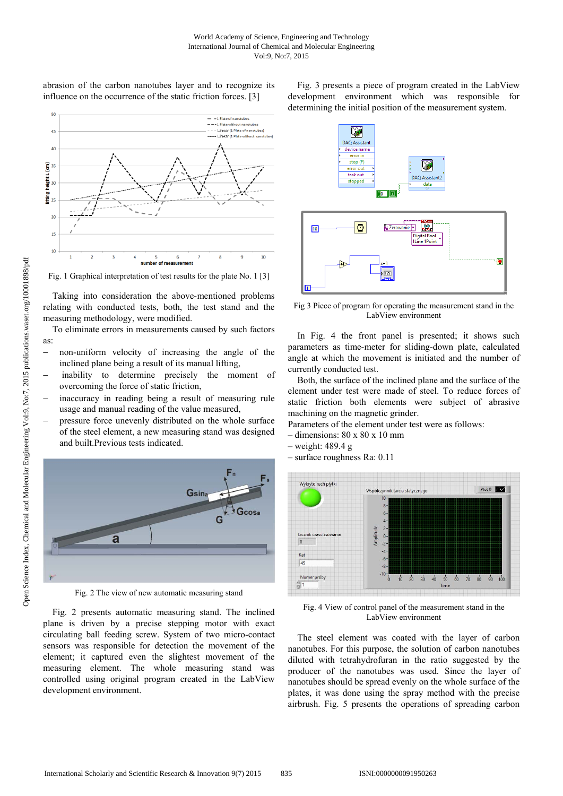abrasion of the carbon nanotubes layer and to recognize its influence on the occurrence of the static friction forces. [3]



Fig. 1 Graphical interpretation of test results for the plate No. 1 [3]

Taking into consideration the above-mentioned problems relating with conducted tests, both, the test stand and the measuring methodology, were modified.

To eliminate errors in measurements caused by such factors as:

- non-uniform velocity of increasing the angle of the inclined plane being a result of its manual lifting,
- inability to determine precisely the moment of overcoming the force of static friction,
- inaccuracy in reading being a result of measuring rule usage and manual reading of the value measured,
- pressure force unevenly distributed on the whole surface of the steel element, a new measuring stand was designed and built.Previous tests indicated.



Fig. 2 The view of new automatic measuring stand

Fig. 2 presents automatic measuring stand. The inclined plane is driven by a precise stepping motor with exact circulating ball feeding screw. System of two micro-contact sensors was responsible for detection the movement of the element; it captured even the slightest movement of the measuring element. The whole measuring stand was controlled using original program created in the LabView development environment.

Fig. 3 presents a piece of program created in the LabView development environment which was responsible for determining the initial position of the measurement system.



Fig 3 Piece of program for operating the measurement stand in the LabView environment

In Fig. 4 the front panel is presented; it shows such parameters as time-meter for sliding-down plate, calculated angle at which the movement is initiated and the number of currently conducted test.

Both, the surface of the inclined plane and the surface of the element under test were made of steel. To reduce forces of static friction both elements were subject of abrasive machining on the magnetic grinder.

Parameters of the element under test were as follows:

- $-$  dimensions:  $80 \times 80 \times 10$  mm
- weight: 489.4 g
- surface roughness Ra: 0.11



Fig. 4 View of control panel of the measurement stand in the LabView environment

The steel element was coated with the layer of carbon nanotubes. For this purpose, the solution of carbon nanotubes diluted with tetrahydrofuran in the ratio suggested by the producer of the nanotubes was used. Since the layer of nanotubes should be spread evenly on the whole surface of the plates, it was done using the spray method with the precise airbrush. Fig. 5 presents the operations of spreading carbon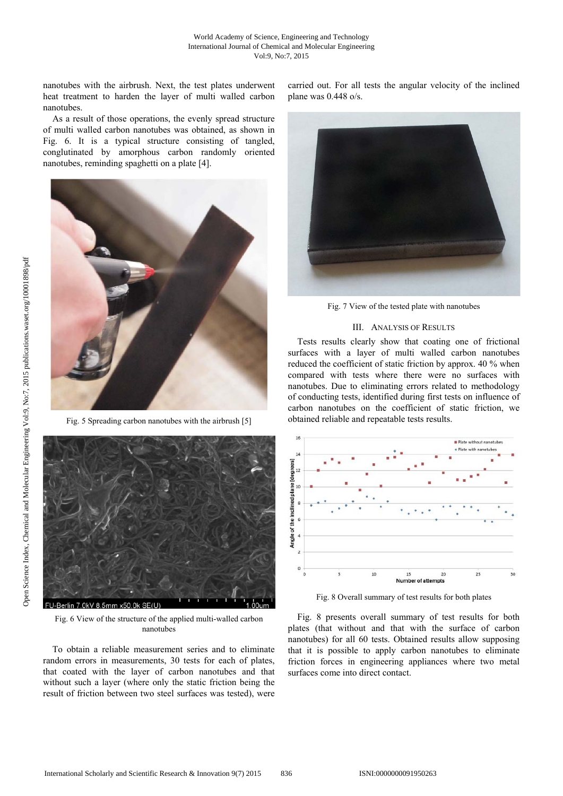nanotubes with the airbrush. Next, the test plates underwent heat treatment to harden the layer of multi walled carbon nanotubes.

As a result of those operations, the evenly spread structure of multi walled carbon nanotubes was obtained, as shown in Fig. 6. It is a typical structure consisting of tangled, conglutinated by amorphous carbon randomly oriented nanotubes, reminding spaghetti on a plate [4].



Fig. 5 Spreading carbon nanotubes with the airbrush [5]



Fig. 6 View of the structure of the applied multi-walled carbon nanotubes

To obtain a reliable measurement series and to eliminate random errors in measurements, 30 tests for each of plates, that coated with the layer of carbon nanotubes and that without such a layer (where only the static friction being the result of friction between two steel surfaces was tested), were carried out. For all tests the angular velocity of the inclined plane was 0.448 o/s.



Fig. 7 View of the tested plate with nanotubes

# III. ANALYSIS OF RESULTS

Tests results clearly show that coating one of frictional surfaces with a layer of multi walled carbon nanotubes reduced the coefficient of static friction by approx. 40 % when compared with tests where there were no surfaces with nanotubes. Due to eliminating errors related to methodology of conducting tests, identified during first tests on influence of carbon nanotubes on the coefficient of static friction, we obtained reliable and repeatable tests results.



Fig. 8 Overall summary of test results for both plates

Fig. 8 presents overall summary of test results for both plates (that without and that with the surface of carbon nanotubes) for all 60 tests. Obtained results allow supposing that it is possible to apply carbon nanotubes to eliminate friction forces in engineering appliances where two metal surfaces come into direct contact.